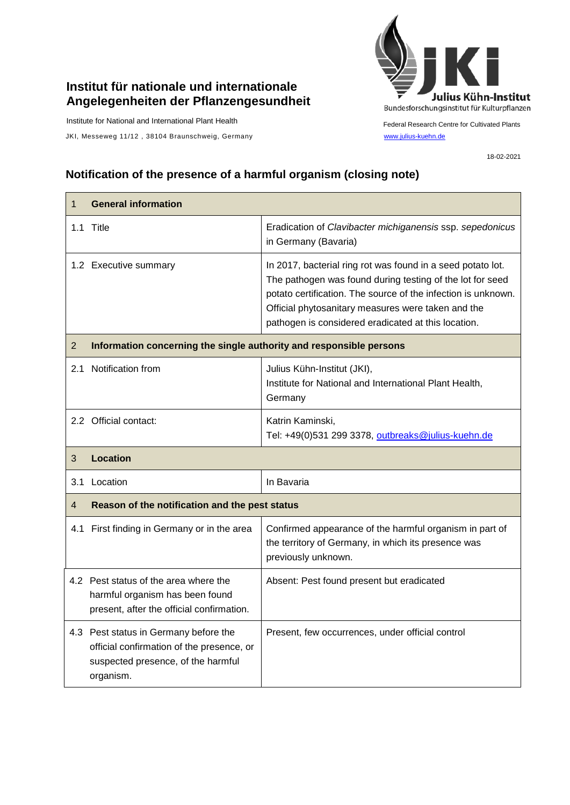## **Institut für nationale und internationale Angelegenheiten der Pflanzengesundheit**

Institute for National and International Plant Health

JKI, Messeweg 11/12, 38104 Braunschweig, Germany [www.julius-kuehn.de](http://www.julius-kuehn.de/)



Federal Research Centre for Cultivated Plants

18-02-2021

## **Notification of the presence of a harmful organism (closing note)**

| 1              | <b>General information</b>                                                                                            |                                                                                                                                                                                                                                                                                                        |  |
|----------------|-----------------------------------------------------------------------------------------------------------------------|--------------------------------------------------------------------------------------------------------------------------------------------------------------------------------------------------------------------------------------------------------------------------------------------------------|--|
|                | 1.1 Title                                                                                                             | Eradication of Clavibacter michiganensis ssp. sepedonicus<br>in Germany (Bavaria)                                                                                                                                                                                                                      |  |
|                | 1.2 Executive summary                                                                                                 | In 2017, bacterial ring rot was found in a seed potato lot.<br>The pathogen was found during testing of the lot for seed<br>potato certification. The source of the infection is unknown.<br>Official phytosanitary measures were taken and the<br>pathogen is considered eradicated at this location. |  |
| $\overline{2}$ | Information concerning the single authority and responsible persons                                                   |                                                                                                                                                                                                                                                                                                        |  |
|                | 2.1 Notification from                                                                                                 | Julius Kühn-Institut (JKI),<br>Institute for National and International Plant Health,<br>Germany                                                                                                                                                                                                       |  |
|                | 2.2 Official contact:                                                                                                 | Katrin Kaminski,<br>Tel: +49(0)531 299 3378, outbreaks@julius-kuehn.de                                                                                                                                                                                                                                 |  |
| 3              | <b>Location</b>                                                                                                       |                                                                                                                                                                                                                                                                                                        |  |
|                | 3.1 Location                                                                                                          | In Bavaria                                                                                                                                                                                                                                                                                             |  |
| 4              | Reason of the notification and the pest status                                                                        |                                                                                                                                                                                                                                                                                                        |  |
|                | 4.1 First finding in Germany or in the area                                                                           | Confirmed appearance of the harmful organism in part of<br>the territory of Germany, in which its presence was<br>previously unknown.                                                                                                                                                                  |  |
|                | 4.2 Pest status of the area where the<br>harmful organism has been found<br>present, after the official confirmation. | Absent: Pest found present but eradicated                                                                                                                                                                                                                                                              |  |
|                | 4.3 Pest status in Germany before the                                                                                 | Present, few occurrences, under official control                                                                                                                                                                                                                                                       |  |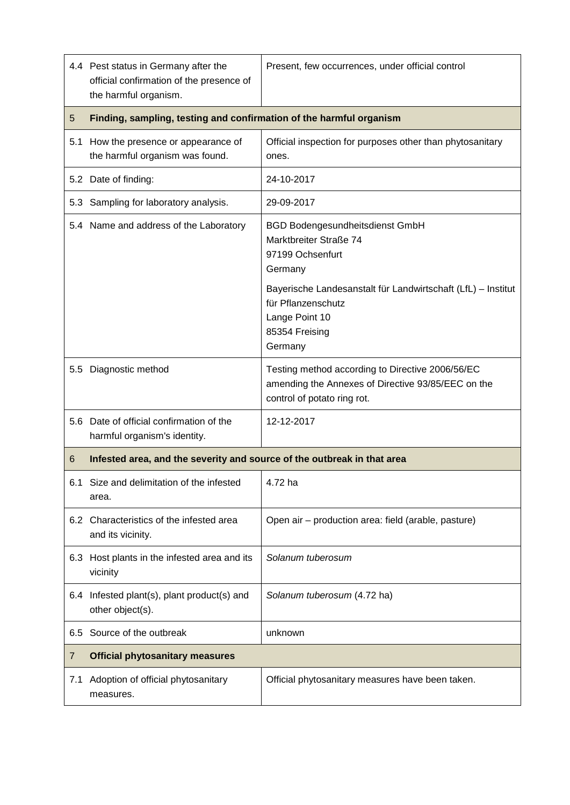|     | 4.4 Pest status in Germany after the<br>official confirmation of the presence of<br>the harmful organism. | Present, few occurrences, under official control                                                                                                                                                                          |  |
|-----|-----------------------------------------------------------------------------------------------------------|---------------------------------------------------------------------------------------------------------------------------------------------------------------------------------------------------------------------------|--|
| 5   | Finding, sampling, testing and confirmation of the harmful organism                                       |                                                                                                                                                                                                                           |  |
|     | 5.1 How the presence or appearance of<br>the harmful organism was found.                                  | Official inspection for purposes other than phytosanitary<br>ones.                                                                                                                                                        |  |
|     | 5.2 Date of finding:                                                                                      | 24-10-2017                                                                                                                                                                                                                |  |
|     | 5.3 Sampling for laboratory analysis.                                                                     | 29-09-2017                                                                                                                                                                                                                |  |
|     | 5.4 Name and address of the Laboratory                                                                    | <b>BGD Bodengesundheitsdienst GmbH</b><br>Marktbreiter Straße 74<br>97199 Ochsenfurt<br>Germany<br>Bayerische Landesanstalt für Landwirtschaft (LfL) – Institut<br>für Pflanzenschutz<br>Lange Point 10<br>85354 Freising |  |
|     |                                                                                                           | Germany                                                                                                                                                                                                                   |  |
|     | 5.5 Diagnostic method                                                                                     | Testing method according to Directive 2006/56/EC<br>amending the Annexes of Directive 93/85/EEC on the<br>control of potato ring rot.                                                                                     |  |
|     | 5.6 Date of official confirmation of the<br>harmful organism's identity.                                  | 12-12-2017                                                                                                                                                                                                                |  |
| 6   | Infested area, and the severity and source of the outbreak in that area                                   |                                                                                                                                                                                                                           |  |
| 6.1 | Size and delimitation of the infested<br>area.                                                            | 4.72 ha                                                                                                                                                                                                                   |  |
|     | 6.2 Characteristics of the infested area<br>and its vicinity.                                             | Open air - production area: field (arable, pasture)                                                                                                                                                                       |  |
|     | 6.3 Host plants in the infested area and its<br>vicinity                                                  | Solanum tuberosum                                                                                                                                                                                                         |  |
|     | 6.4 Infested plant(s), plant product(s) and<br>other object(s).                                           | Solanum tuberosum (4.72 ha)                                                                                                                                                                                               |  |
| 6.5 | Source of the outbreak                                                                                    | unknown                                                                                                                                                                                                                   |  |
| 7   | <b>Official phytosanitary measures</b>                                                                    |                                                                                                                                                                                                                           |  |
| 7.1 | Adoption of official phytosanitary<br>measures.                                                           | Official phytosanitary measures have been taken.                                                                                                                                                                          |  |